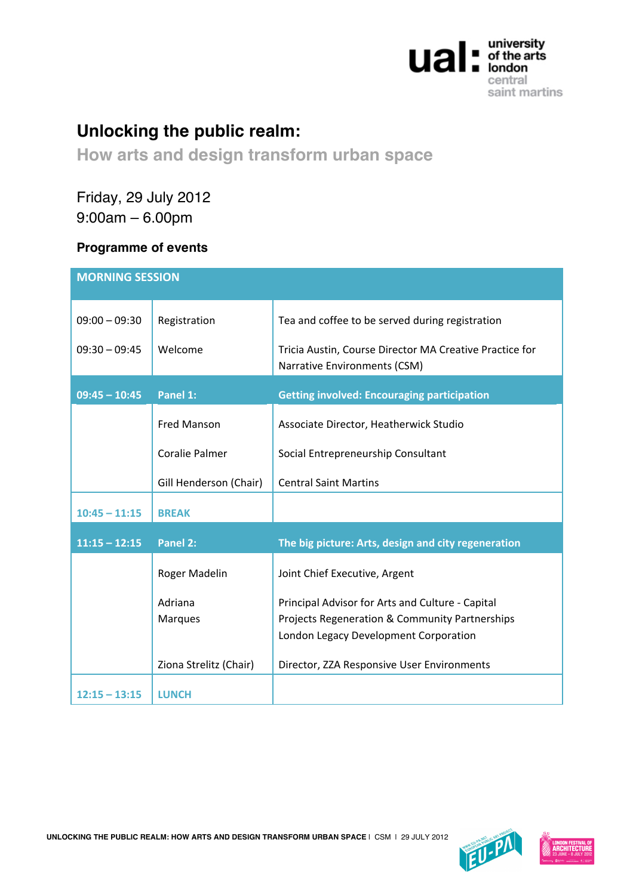

## **Unlocking the public realm:**

## **How arts and design transform urban space**

Friday, 29 July 2012 9:00am – 6.00pm

## **Programme of events**

| <b>MORNING SESSION</b> |                           |                                                                                                                                             |  |  |
|------------------------|---------------------------|---------------------------------------------------------------------------------------------------------------------------------------------|--|--|
| $09:00 - 09:30$        | Registration              | Tea and coffee to be served during registration                                                                                             |  |  |
| $09:30 - 09:45$        | Welcome                   | Tricia Austin, Course Director MA Creative Practice for<br>Narrative Environments (CSM)                                                     |  |  |
| $09:45 - 10:45$        | Panel 1:                  | <b>Getting involved: Encouraging participation</b>                                                                                          |  |  |
|                        | <b>Fred Manson</b>        | Associate Director, Heatherwick Studio                                                                                                      |  |  |
|                        | Coralie Palmer            | Social Entrepreneurship Consultant                                                                                                          |  |  |
|                        | Gill Henderson (Chair)    | <b>Central Saint Martins</b>                                                                                                                |  |  |
| $10:45 - 11:15$        | <b>BREAK</b>              |                                                                                                                                             |  |  |
| $11:15 - 12:15$        | Panel 2:                  | The big picture: Arts, design and city regeneration                                                                                         |  |  |
|                        | Roger Madelin             | Joint Chief Executive, Argent                                                                                                               |  |  |
|                        | Adriana<br><b>Marques</b> | Principal Advisor for Arts and Culture - Capital<br>Projects Regeneration & Community Partnerships<br>London Legacy Development Corporation |  |  |
|                        | Ziona Strelitz (Chair)    | Director, ZZA Responsive User Environments                                                                                                  |  |  |
| $12:15 - 13:15$        | <b>LUNCH</b>              |                                                                                                                                             |  |  |

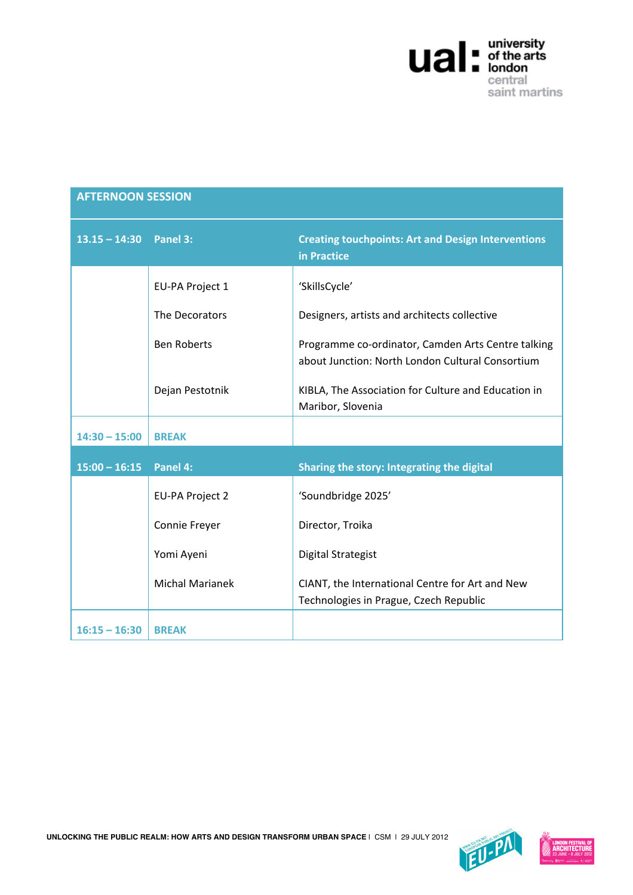

| <b>AFTERNOON SESSION</b> |                        |                                                                                                        |  |
|--------------------------|------------------------|--------------------------------------------------------------------------------------------------------|--|
| $13.15 - 14:30$ Panel 3: |                        | <b>Creating touchpoints: Art and Design Interventions</b><br>in Practice                               |  |
|                          | EU-PA Project 1        | 'SkillsCycle'                                                                                          |  |
|                          | The Decorators         | Designers, artists and architects collective                                                           |  |
|                          | <b>Ben Roberts</b>     | Programme co-ordinator, Camden Arts Centre talking<br>about Junction: North London Cultural Consortium |  |
|                          | Dejan Pestotnik        | KIBLA, The Association for Culture and Education in<br>Maribor, Slovenia                               |  |
| $14:30 - 15:00$          | <b>BREAK</b>           |                                                                                                        |  |
| $15:00 - 16:15$          | Panel 4:               | Sharing the story: Integrating the digital                                                             |  |
|                          | <b>EU-PA Project 2</b> | 'Soundbridge 2025'                                                                                     |  |
|                          | Connie Freyer          | Director, Troika                                                                                       |  |
|                          | Yomi Ayeni             | <b>Digital Strategist</b>                                                                              |  |
|                          | <b>Michal Marianek</b> | CIANT, the International Centre for Art and New<br>Technologies in Prague, Czech Republic              |  |
| $16:15 - 16:30$          | <b>BREAK</b>           |                                                                                                        |  |